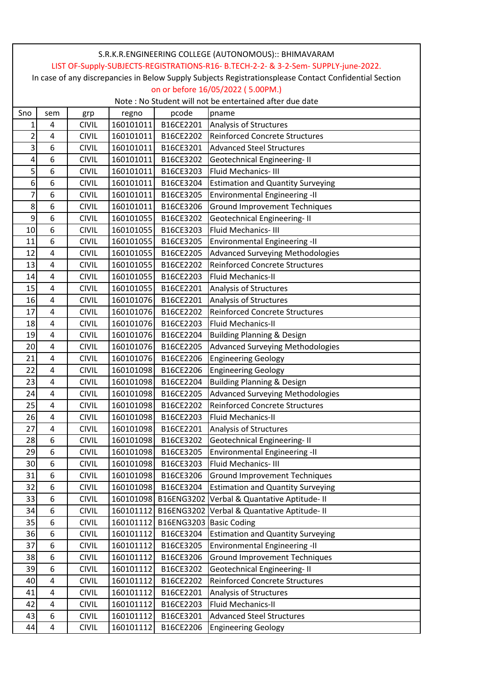| LIST OF-Supply-SUBJECTS-REGISTRATIONS-R16- B.TECH-2-2- & 3-2-Sem- SUPPLY-june-2022.<br>In case of any discrepancies in Below Supply Subjects Registrationsplease Contact Confidential Section<br>on or before 16/05/2022 (5.00PM.)<br>Note: No Student will not be entertained after due date<br>pcode<br>Sno<br>pname<br>sem<br>regno<br>grp<br>4<br><b>CIVIL</b><br>160101011<br>B16CE2201<br>Analysis of Structures<br>1<br>2<br><b>Reinforced Concrete Structures</b><br>4<br><b>CIVIL</b><br>160101011<br>B16CE2202<br>3<br>6<br>160101011<br><b>Advanced Steel Structures</b><br><b>CIVIL</b><br>B16CE3201<br>6<br>4<br><b>CIVIL</b><br>160101011<br>B16CE3202<br>Geotechnical Engineering-II<br>5<br>6<br>160101011<br><b>CIVIL</b><br>B16CE3203<br>Fluid Mechanics-III<br>6<br>6<br>160101011<br><b>CIVIL</b><br>B16CE3204<br><b>Estimation and Quantity Surveying</b><br>7<br>6<br>160101011<br>B16CE3205<br><b>Environmental Engineering -II</b><br><b>CIVIL</b><br>8<br>6<br>160101011<br><b>Ground Improvement Techniques</b><br><b>CIVIL</b><br>B16CE3206<br>9<br>6<br><b>Geotechnical Engineering-II</b><br>160101055<br>B16CE3202<br><b>CIVIL</b><br>6<br>160101055<br>B16CE3203<br><b>Fluid Mechanics-III</b><br>10<br><b>CIVIL</b><br>6<br>11<br><b>CIVIL</b><br>160101055<br>B16CE3205<br><b>Environmental Engineering -II</b><br>160101055<br>12<br>4<br><b>CIVIL</b><br>B16CE2205<br>Advanced Surveying Methodologies<br>4<br><b>Reinforced Concrete Structures</b><br>13<br><b>CIVIL</b><br>160101055<br>B16CE2202<br>14<br><b>Fluid Mechanics-II</b><br>4<br><b>CIVIL</b><br>160101055<br>B16CE2203<br>15<br>4<br><b>CIVIL</b><br>160101055<br>B16CE2201<br>Analysis of Structures<br>16<br>4<br>160101076<br>B16CE2201<br>Analysis of Structures<br><b>CIVIL</b><br>160101076<br>Reinforced Concrete Structures<br>17<br><b>CIVIL</b><br>B16CE2202<br>4<br>4<br>18<br><b>CIVIL</b><br>160101076<br>B16CE2203<br><b>Fluid Mechanics-II</b><br>19<br>4<br><b>CIVIL</b><br>160101076<br><b>Building Planning &amp; Design</b><br>B16CE2204<br>20<br>4<br><b>Advanced Surveying Methodologies</b><br><b>CIVIL</b><br>160101076<br>B16CE2205<br>21<br>4<br><b>CIVIL</b><br>160101076<br>B16CE2206<br><b>Engineering Geology</b> |
|---------------------------------------------------------------------------------------------------------------------------------------------------------------------------------------------------------------------------------------------------------------------------------------------------------------------------------------------------------------------------------------------------------------------------------------------------------------------------------------------------------------------------------------------------------------------------------------------------------------------------------------------------------------------------------------------------------------------------------------------------------------------------------------------------------------------------------------------------------------------------------------------------------------------------------------------------------------------------------------------------------------------------------------------------------------------------------------------------------------------------------------------------------------------------------------------------------------------------------------------------------------------------------------------------------------------------------------------------------------------------------------------------------------------------------------------------------------------------------------------------------------------------------------------------------------------------------------------------------------------------------------------------------------------------------------------------------------------------------------------------------------------------------------------------------------------------------------------------------------------------------------------------------------------------------------------------------------------------------------------------------------------------------------------------------------------------------------------------------------------------------------------------------------------------------------------------------------------------------------------------|
|                                                                                                                                                                                                                                                                                                                                                                                                                                                                                                                                                                                                                                                                                                                                                                                                                                                                                                                                                                                                                                                                                                                                                                                                                                                                                                                                                                                                                                                                                                                                                                                                                                                                                                                                                                                                                                                                                                                                                                                                                                                                                                                                                                                                                                                   |
|                                                                                                                                                                                                                                                                                                                                                                                                                                                                                                                                                                                                                                                                                                                                                                                                                                                                                                                                                                                                                                                                                                                                                                                                                                                                                                                                                                                                                                                                                                                                                                                                                                                                                                                                                                                                                                                                                                                                                                                                                                                                                                                                                                                                                                                   |
|                                                                                                                                                                                                                                                                                                                                                                                                                                                                                                                                                                                                                                                                                                                                                                                                                                                                                                                                                                                                                                                                                                                                                                                                                                                                                                                                                                                                                                                                                                                                                                                                                                                                                                                                                                                                                                                                                                                                                                                                                                                                                                                                                                                                                                                   |
|                                                                                                                                                                                                                                                                                                                                                                                                                                                                                                                                                                                                                                                                                                                                                                                                                                                                                                                                                                                                                                                                                                                                                                                                                                                                                                                                                                                                                                                                                                                                                                                                                                                                                                                                                                                                                                                                                                                                                                                                                                                                                                                                                                                                                                                   |
|                                                                                                                                                                                                                                                                                                                                                                                                                                                                                                                                                                                                                                                                                                                                                                                                                                                                                                                                                                                                                                                                                                                                                                                                                                                                                                                                                                                                                                                                                                                                                                                                                                                                                                                                                                                                                                                                                                                                                                                                                                                                                                                                                                                                                                                   |
|                                                                                                                                                                                                                                                                                                                                                                                                                                                                                                                                                                                                                                                                                                                                                                                                                                                                                                                                                                                                                                                                                                                                                                                                                                                                                                                                                                                                                                                                                                                                                                                                                                                                                                                                                                                                                                                                                                                                                                                                                                                                                                                                                                                                                                                   |
|                                                                                                                                                                                                                                                                                                                                                                                                                                                                                                                                                                                                                                                                                                                                                                                                                                                                                                                                                                                                                                                                                                                                                                                                                                                                                                                                                                                                                                                                                                                                                                                                                                                                                                                                                                                                                                                                                                                                                                                                                                                                                                                                                                                                                                                   |
|                                                                                                                                                                                                                                                                                                                                                                                                                                                                                                                                                                                                                                                                                                                                                                                                                                                                                                                                                                                                                                                                                                                                                                                                                                                                                                                                                                                                                                                                                                                                                                                                                                                                                                                                                                                                                                                                                                                                                                                                                                                                                                                                                                                                                                                   |
|                                                                                                                                                                                                                                                                                                                                                                                                                                                                                                                                                                                                                                                                                                                                                                                                                                                                                                                                                                                                                                                                                                                                                                                                                                                                                                                                                                                                                                                                                                                                                                                                                                                                                                                                                                                                                                                                                                                                                                                                                                                                                                                                                                                                                                                   |
|                                                                                                                                                                                                                                                                                                                                                                                                                                                                                                                                                                                                                                                                                                                                                                                                                                                                                                                                                                                                                                                                                                                                                                                                                                                                                                                                                                                                                                                                                                                                                                                                                                                                                                                                                                                                                                                                                                                                                                                                                                                                                                                                                                                                                                                   |
|                                                                                                                                                                                                                                                                                                                                                                                                                                                                                                                                                                                                                                                                                                                                                                                                                                                                                                                                                                                                                                                                                                                                                                                                                                                                                                                                                                                                                                                                                                                                                                                                                                                                                                                                                                                                                                                                                                                                                                                                                                                                                                                                                                                                                                                   |
|                                                                                                                                                                                                                                                                                                                                                                                                                                                                                                                                                                                                                                                                                                                                                                                                                                                                                                                                                                                                                                                                                                                                                                                                                                                                                                                                                                                                                                                                                                                                                                                                                                                                                                                                                                                                                                                                                                                                                                                                                                                                                                                                                                                                                                                   |
|                                                                                                                                                                                                                                                                                                                                                                                                                                                                                                                                                                                                                                                                                                                                                                                                                                                                                                                                                                                                                                                                                                                                                                                                                                                                                                                                                                                                                                                                                                                                                                                                                                                                                                                                                                                                                                                                                                                                                                                                                                                                                                                                                                                                                                                   |
|                                                                                                                                                                                                                                                                                                                                                                                                                                                                                                                                                                                                                                                                                                                                                                                                                                                                                                                                                                                                                                                                                                                                                                                                                                                                                                                                                                                                                                                                                                                                                                                                                                                                                                                                                                                                                                                                                                                                                                                                                                                                                                                                                                                                                                                   |
|                                                                                                                                                                                                                                                                                                                                                                                                                                                                                                                                                                                                                                                                                                                                                                                                                                                                                                                                                                                                                                                                                                                                                                                                                                                                                                                                                                                                                                                                                                                                                                                                                                                                                                                                                                                                                                                                                                                                                                                                                                                                                                                                                                                                                                                   |
|                                                                                                                                                                                                                                                                                                                                                                                                                                                                                                                                                                                                                                                                                                                                                                                                                                                                                                                                                                                                                                                                                                                                                                                                                                                                                                                                                                                                                                                                                                                                                                                                                                                                                                                                                                                                                                                                                                                                                                                                                                                                                                                                                                                                                                                   |
|                                                                                                                                                                                                                                                                                                                                                                                                                                                                                                                                                                                                                                                                                                                                                                                                                                                                                                                                                                                                                                                                                                                                                                                                                                                                                                                                                                                                                                                                                                                                                                                                                                                                                                                                                                                                                                                                                                                                                                                                                                                                                                                                                                                                                                                   |
|                                                                                                                                                                                                                                                                                                                                                                                                                                                                                                                                                                                                                                                                                                                                                                                                                                                                                                                                                                                                                                                                                                                                                                                                                                                                                                                                                                                                                                                                                                                                                                                                                                                                                                                                                                                                                                                                                                                                                                                                                                                                                                                                                                                                                                                   |
|                                                                                                                                                                                                                                                                                                                                                                                                                                                                                                                                                                                                                                                                                                                                                                                                                                                                                                                                                                                                                                                                                                                                                                                                                                                                                                                                                                                                                                                                                                                                                                                                                                                                                                                                                                                                                                                                                                                                                                                                                                                                                                                                                                                                                                                   |
|                                                                                                                                                                                                                                                                                                                                                                                                                                                                                                                                                                                                                                                                                                                                                                                                                                                                                                                                                                                                                                                                                                                                                                                                                                                                                                                                                                                                                                                                                                                                                                                                                                                                                                                                                                                                                                                                                                                                                                                                                                                                                                                                                                                                                                                   |
|                                                                                                                                                                                                                                                                                                                                                                                                                                                                                                                                                                                                                                                                                                                                                                                                                                                                                                                                                                                                                                                                                                                                                                                                                                                                                                                                                                                                                                                                                                                                                                                                                                                                                                                                                                                                                                                                                                                                                                                                                                                                                                                                                                                                                                                   |
|                                                                                                                                                                                                                                                                                                                                                                                                                                                                                                                                                                                                                                                                                                                                                                                                                                                                                                                                                                                                                                                                                                                                                                                                                                                                                                                                                                                                                                                                                                                                                                                                                                                                                                                                                                                                                                                                                                                                                                                                                                                                                                                                                                                                                                                   |
|                                                                                                                                                                                                                                                                                                                                                                                                                                                                                                                                                                                                                                                                                                                                                                                                                                                                                                                                                                                                                                                                                                                                                                                                                                                                                                                                                                                                                                                                                                                                                                                                                                                                                                                                                                                                                                                                                                                                                                                                                                                                                                                                                                                                                                                   |
|                                                                                                                                                                                                                                                                                                                                                                                                                                                                                                                                                                                                                                                                                                                                                                                                                                                                                                                                                                                                                                                                                                                                                                                                                                                                                                                                                                                                                                                                                                                                                                                                                                                                                                                                                                                                                                                                                                                                                                                                                                                                                                                                                                                                                                                   |
|                                                                                                                                                                                                                                                                                                                                                                                                                                                                                                                                                                                                                                                                                                                                                                                                                                                                                                                                                                                                                                                                                                                                                                                                                                                                                                                                                                                                                                                                                                                                                                                                                                                                                                                                                                                                                                                                                                                                                                                                                                                                                                                                                                                                                                                   |
|                                                                                                                                                                                                                                                                                                                                                                                                                                                                                                                                                                                                                                                                                                                                                                                                                                                                                                                                                                                                                                                                                                                                                                                                                                                                                                                                                                                                                                                                                                                                                                                                                                                                                                                                                                                                                                                                                                                                                                                                                                                                                                                                                                                                                                                   |
| 22<br>160101098<br>4<br><b>CIVIL</b><br>B16CE2206<br><b>Engineering Geology</b>                                                                                                                                                                                                                                                                                                                                                                                                                                                                                                                                                                                                                                                                                                                                                                                                                                                                                                                                                                                                                                                                                                                                                                                                                                                                                                                                                                                                                                                                                                                                                                                                                                                                                                                                                                                                                                                                                                                                                                                                                                                                                                                                                                   |
| <b>Building Planning &amp; Design</b><br>23<br>160101098<br>B16CE2204<br>4<br><b>CIVIL</b>                                                                                                                                                                                                                                                                                                                                                                                                                                                                                                                                                                                                                                                                                                                                                                                                                                                                                                                                                                                                                                                                                                                                                                                                                                                                                                                                                                                                                                                                                                                                                                                                                                                                                                                                                                                                                                                                                                                                                                                                                                                                                                                                                        |
| 160101098<br><b>Advanced Surveying Methodologies</b><br>24<br>4<br><b>CIVIL</b><br>B16CE2205                                                                                                                                                                                                                                                                                                                                                                                                                                                                                                                                                                                                                                                                                                                                                                                                                                                                                                                                                                                                                                                                                                                                                                                                                                                                                                                                                                                                                                                                                                                                                                                                                                                                                                                                                                                                                                                                                                                                                                                                                                                                                                                                                      |
| 4<br>25<br>160101098<br>Reinforced Concrete Structures<br><b>CIVIL</b><br>B16CE2202                                                                                                                                                                                                                                                                                                                                                                                                                                                                                                                                                                                                                                                                                                                                                                                                                                                                                                                                                                                                                                                                                                                                                                                                                                                                                                                                                                                                                                                                                                                                                                                                                                                                                                                                                                                                                                                                                                                                                                                                                                                                                                                                                               |
| 26<br>160101098<br>4<br><b>CIVIL</b><br>B16CE2203<br>Fluid Mechanics-II                                                                                                                                                                                                                                                                                                                                                                                                                                                                                                                                                                                                                                                                                                                                                                                                                                                                                                                                                                                                                                                                                                                                                                                                                                                                                                                                                                                                                                                                                                                                                                                                                                                                                                                                                                                                                                                                                                                                                                                                                                                                                                                                                                           |
| 27<br>4<br>160101098<br><b>CIVIL</b><br>B16CE2201<br>Analysis of Structures                                                                                                                                                                                                                                                                                                                                                                                                                                                                                                                                                                                                                                                                                                                                                                                                                                                                                                                                                                                                                                                                                                                                                                                                                                                                                                                                                                                                                                                                                                                                                                                                                                                                                                                                                                                                                                                                                                                                                                                                                                                                                                                                                                       |
| 28<br>160101098<br>6<br><b>CIVIL</b><br>B16CE3202<br>Geotechnical Engineering-II                                                                                                                                                                                                                                                                                                                                                                                                                                                                                                                                                                                                                                                                                                                                                                                                                                                                                                                                                                                                                                                                                                                                                                                                                                                                                                                                                                                                                                                                                                                                                                                                                                                                                                                                                                                                                                                                                                                                                                                                                                                                                                                                                                  |
| 29<br>6<br>160101098<br><b>CIVIL</b><br>B16CE3205<br><b>Environmental Engineering -II</b>                                                                                                                                                                                                                                                                                                                                                                                                                                                                                                                                                                                                                                                                                                                                                                                                                                                                                                                                                                                                                                                                                                                                                                                                                                                                                                                                                                                                                                                                                                                                                                                                                                                                                                                                                                                                                                                                                                                                                                                                                                                                                                                                                         |
| 6<br>30<br>160101098<br>Fluid Mechanics-III<br><b>CIVIL</b><br>B16CE3203                                                                                                                                                                                                                                                                                                                                                                                                                                                                                                                                                                                                                                                                                                                                                                                                                                                                                                                                                                                                                                                                                                                                                                                                                                                                                                                                                                                                                                                                                                                                                                                                                                                                                                                                                                                                                                                                                                                                                                                                                                                                                                                                                                          |
| 160101098<br>31<br>6<br><b>CIVIL</b><br><b>Ground Improvement Techniques</b><br>B16CE3206                                                                                                                                                                                                                                                                                                                                                                                                                                                                                                                                                                                                                                                                                                                                                                                                                                                                                                                                                                                                                                                                                                                                                                                                                                                                                                                                                                                                                                                                                                                                                                                                                                                                                                                                                                                                                                                                                                                                                                                                                                                                                                                                                         |
| 6<br>32<br>160101098<br>B16CE3204<br><b>Estimation and Quantity Surveying</b><br><b>CIVIL</b>                                                                                                                                                                                                                                                                                                                                                                                                                                                                                                                                                                                                                                                                                                                                                                                                                                                                                                                                                                                                                                                                                                                                                                                                                                                                                                                                                                                                                                                                                                                                                                                                                                                                                                                                                                                                                                                                                                                                                                                                                                                                                                                                                     |
| 33<br>160101098<br>B16ENG3202<br>Verbal & Quantative Aptitude- II<br>6<br><b>CIVIL</b>                                                                                                                                                                                                                                                                                                                                                                                                                                                                                                                                                                                                                                                                                                                                                                                                                                                                                                                                                                                                                                                                                                                                                                                                                                                                                                                                                                                                                                                                                                                                                                                                                                                                                                                                                                                                                                                                                                                                                                                                                                                                                                                                                            |
| 6<br>160101112<br>34<br><b>CIVIL</b><br>B16ENG3202<br>Verbal & Quantative Aptitude-II                                                                                                                                                                                                                                                                                                                                                                                                                                                                                                                                                                                                                                                                                                                                                                                                                                                                                                                                                                                                                                                                                                                                                                                                                                                                                                                                                                                                                                                                                                                                                                                                                                                                                                                                                                                                                                                                                                                                                                                                                                                                                                                                                             |
| 35<br>6<br><b>CIVIL</b><br>160101112<br>B16ENG3203 Basic Coding                                                                                                                                                                                                                                                                                                                                                                                                                                                                                                                                                                                                                                                                                                                                                                                                                                                                                                                                                                                                                                                                                                                                                                                                                                                                                                                                                                                                                                                                                                                                                                                                                                                                                                                                                                                                                                                                                                                                                                                                                                                                                                                                                                                   |
| 36<br>6<br>160101112<br><b>CIVIL</b><br>B16CE3204<br><b>Estimation and Quantity Surveying</b>                                                                                                                                                                                                                                                                                                                                                                                                                                                                                                                                                                                                                                                                                                                                                                                                                                                                                                                                                                                                                                                                                                                                                                                                                                                                                                                                                                                                                                                                                                                                                                                                                                                                                                                                                                                                                                                                                                                                                                                                                                                                                                                                                     |
| 37<br>6<br>160101112<br><b>Environmental Engineering -II</b><br><b>CIVIL</b><br>B16CE3205                                                                                                                                                                                                                                                                                                                                                                                                                                                                                                                                                                                                                                                                                                                                                                                                                                                                                                                                                                                                                                                                                                                                                                                                                                                                                                                                                                                                                                                                                                                                                                                                                                                                                                                                                                                                                                                                                                                                                                                                                                                                                                                                                         |
| 38<br>6<br>160101112<br>B16CE3206<br><b>Ground Improvement Techniques</b><br><b>CIVIL</b>                                                                                                                                                                                                                                                                                                                                                                                                                                                                                                                                                                                                                                                                                                                                                                                                                                                                                                                                                                                                                                                                                                                                                                                                                                                                                                                                                                                                                                                                                                                                                                                                                                                                                                                                                                                                                                                                                                                                                                                                                                                                                                                                                         |
| 39<br>6<br>160101112<br><b>Geotechnical Engineering-II</b><br><b>CIVIL</b><br>B16CE3202                                                                                                                                                                                                                                                                                                                                                                                                                                                                                                                                                                                                                                                                                                                                                                                                                                                                                                                                                                                                                                                                                                                                                                                                                                                                                                                                                                                                                                                                                                                                                                                                                                                                                                                                                                                                                                                                                                                                                                                                                                                                                                                                                           |
| <b>Reinforced Concrete Structures</b><br>40<br>4<br><b>CIVIL</b><br>160101112<br>B16CE2202                                                                                                                                                                                                                                                                                                                                                                                                                                                                                                                                                                                                                                                                                                                                                                                                                                                                                                                                                                                                                                                                                                                                                                                                                                                                                                                                                                                                                                                                                                                                                                                                                                                                                                                                                                                                                                                                                                                                                                                                                                                                                                                                                        |
| 160101112<br>B16CE2201<br>4<br><b>CIVIL</b><br>Analysis of Structures<br>41                                                                                                                                                                                                                                                                                                                                                                                                                                                                                                                                                                                                                                                                                                                                                                                                                                                                                                                                                                                                                                                                                                                                                                                                                                                                                                                                                                                                                                                                                                                                                                                                                                                                                                                                                                                                                                                                                                                                                                                                                                                                                                                                                                       |
| 160101112<br>Fluid Mechanics-II<br>42<br>4<br><b>CIVIL</b><br>B16CE2203                                                                                                                                                                                                                                                                                                                                                                                                                                                                                                                                                                                                                                                                                                                                                                                                                                                                                                                                                                                                                                                                                                                                                                                                                                                                                                                                                                                                                                                                                                                                                                                                                                                                                                                                                                                                                                                                                                                                                                                                                                                                                                                                                                           |
| 160101112<br>43<br>6<br><b>CIVIL</b><br>B16CE3201<br><b>Advanced Steel Structures</b>                                                                                                                                                                                                                                                                                                                                                                                                                                                                                                                                                                                                                                                                                                                                                                                                                                                                                                                                                                                                                                                                                                                                                                                                                                                                                                                                                                                                                                                                                                                                                                                                                                                                                                                                                                                                                                                                                                                                                                                                                                                                                                                                                             |
| 160101112<br>44<br>4<br><b>CIVIL</b><br>B16CE2206<br><b>Engineering Geology</b>                                                                                                                                                                                                                                                                                                                                                                                                                                                                                                                                                                                                                                                                                                                                                                                                                                                                                                                                                                                                                                                                                                                                                                                                                                                                                                                                                                                                                                                                                                                                                                                                                                                                                                                                                                                                                                                                                                                                                                                                                                                                                                                                                                   |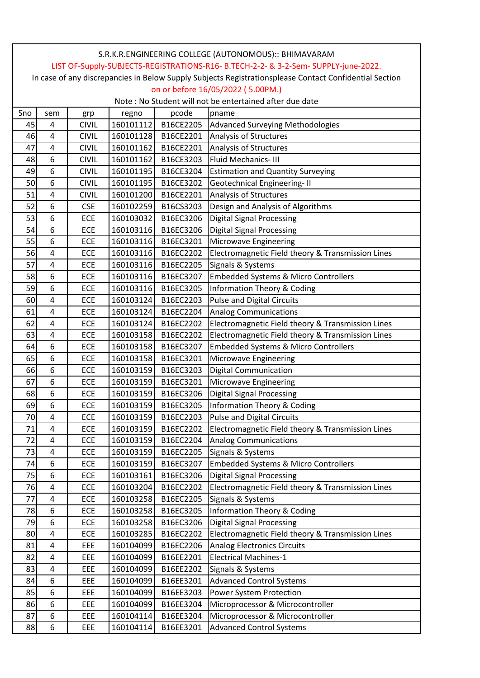| S.R.K.R.ENGINEERING COLLEGE (AUTONOMOUS):: BHIMAVARAM                                                  |                |              |           |           |                                                   |  |  |  |  |
|--------------------------------------------------------------------------------------------------------|----------------|--------------|-----------|-----------|---------------------------------------------------|--|--|--|--|
| LIST OF-Supply-SUBJECTS-REGISTRATIONS-R16- B.TECH-2-2- & 3-2-Sem- SUPPLY-june-2022.                    |                |              |           |           |                                                   |  |  |  |  |
| In case of any discrepancies in Below Supply Subjects Registrationsplease Contact Confidential Section |                |              |           |           |                                                   |  |  |  |  |
| on or before 16/05/2022 (5.00PM.)                                                                      |                |              |           |           |                                                   |  |  |  |  |
| Note: No Student will not be entertained after due date                                                |                |              |           |           |                                                   |  |  |  |  |
| Sno                                                                                                    | sem            | grp          | regno     | pcode     | pname                                             |  |  |  |  |
| 45                                                                                                     | $\overline{4}$ | <b>CIVIL</b> | 160101112 | B16CE2205 | Advanced Surveying Methodologies                  |  |  |  |  |
| 46                                                                                                     | $\overline{4}$ | <b>CIVIL</b> | 160101128 | B16CE2201 | Analysis of Structures                            |  |  |  |  |
| 47                                                                                                     | 4              | <b>CIVIL</b> | 160101162 | B16CE2201 | Analysis of Structures                            |  |  |  |  |
| 48                                                                                                     | 6              | <b>CIVIL</b> | 160101162 | B16CE3203 | Fluid Mechanics-III                               |  |  |  |  |
| 49                                                                                                     | 6              | <b>CIVIL</b> | 160101195 | B16CE3204 | <b>Estimation and Quantity Surveying</b>          |  |  |  |  |
| 50                                                                                                     | 6              | <b>CIVIL</b> | 160101195 | B16CE3202 | <b>Geotechnical Engineering-II</b>                |  |  |  |  |
| 51                                                                                                     | $\overline{4}$ | <b>CIVIL</b> | 160101200 | B16CE2201 | Analysis of Structures                            |  |  |  |  |
| 52                                                                                                     | 6              | <b>CSE</b>   | 160102259 | B16CS3203 | Design and Analysis of Algorithms                 |  |  |  |  |
| 53                                                                                                     | 6              | ECE          | 160103032 | B16EC3206 | <b>Digital Signal Processing</b>                  |  |  |  |  |
| 54                                                                                                     | 6              | ECE          | 160103116 | B16EC3206 | <b>Digital Signal Processing</b>                  |  |  |  |  |
| 55                                                                                                     | 6              | ECE          | 160103116 | B16EC3201 | Microwave Engineering                             |  |  |  |  |
| 56                                                                                                     | $\overline{4}$ | ECE          | 160103116 | B16EC2202 | Electromagnetic Field theory & Transmission Lines |  |  |  |  |
| 57                                                                                                     | 4              | ECE          | 160103116 | B16EC2205 | Signals & Systems                                 |  |  |  |  |
| 58                                                                                                     | 6              | ECE          | 160103116 | B16EC3207 | <b>Embedded Systems &amp; Micro Controllers</b>   |  |  |  |  |
| 59                                                                                                     | 6              | ECE          | 160103116 | B16EC3205 | <b>Information Theory &amp; Coding</b>            |  |  |  |  |
| 60                                                                                                     | 4              | ECE          | 160103124 | B16EC2203 | <b>Pulse and Digital Circuits</b>                 |  |  |  |  |
| 61                                                                                                     | $\overline{4}$ | ECE          | 160103124 | B16EC2204 | <b>Analog Communications</b>                      |  |  |  |  |
| 62                                                                                                     | $\overline{4}$ | ECE          | 160103124 | B16EC2202 | Electromagnetic Field theory & Transmission Lines |  |  |  |  |
| 63                                                                                                     | 4              | ECE          | 160103158 | B16EC2202 | Electromagnetic Field theory & Transmission Lines |  |  |  |  |
| 64                                                                                                     | 6              | ECE          | 160103158 | B16EC3207 | <b>Embedded Systems &amp; Micro Controllers</b>   |  |  |  |  |
| 65                                                                                                     | 6              | ECE          | 160103158 | B16EC3201 | Microwave Engineering                             |  |  |  |  |
| 66                                                                                                     | 6              | ECE          | 160103159 | B16EC3203 | <b>Digital Communication</b>                      |  |  |  |  |
| 67                                                                                                     | 6              | ECE          | 160103159 | B16EC3201 | Microwave Engineering                             |  |  |  |  |
| 68                                                                                                     | 6              | ECE          | 160103159 | B16EC3206 | <b>Digital Signal Processing</b>                  |  |  |  |  |
| 69                                                                                                     | 6              | ECE          | 160103159 | B16EC3205 | Information Theory & Coding                       |  |  |  |  |
| 70                                                                                                     | 4              | ECE          | 160103159 | B16EC2203 | <b>Pulse and Digital Circuits</b>                 |  |  |  |  |
| 71                                                                                                     | 4              | ECE          | 160103159 | B16EC2202 | Electromagnetic Field theory & Transmission Lines |  |  |  |  |
| 72                                                                                                     | $\overline{4}$ | ECE          | 160103159 | B16EC2204 | <b>Analog Communications</b>                      |  |  |  |  |
| 73                                                                                                     | $\overline{4}$ | ECE          | 160103159 | B16EC2205 | Signals & Systems                                 |  |  |  |  |
| 74                                                                                                     | 6              | ECE          | 160103159 | B16EC3207 | <b>Embedded Systems &amp; Micro Controllers</b>   |  |  |  |  |
| 75                                                                                                     | 6              | ECE          | 160103161 | B16EC3206 | <b>Digital Signal Processing</b>                  |  |  |  |  |
| 76                                                                                                     | 4              | ECE          | 160103204 | B16EC2202 | Electromagnetic Field theory & Transmission Lines |  |  |  |  |
| 77                                                                                                     | $\sqrt{4}$     | ECE          | 160103258 | B16EC2205 | Signals & Systems                                 |  |  |  |  |
| 78                                                                                                     | 6              | ECE          | 160103258 | B16EC3205 | <b>Information Theory &amp; Coding</b>            |  |  |  |  |
| 79                                                                                                     | 6              | ECE          | 160103258 | B16EC3206 | <b>Digital Signal Processing</b>                  |  |  |  |  |
| 80                                                                                                     | $\overline{4}$ | ECE          | 160103285 | B16EC2202 | Electromagnetic Field theory & Transmission Lines |  |  |  |  |
| 81                                                                                                     | $\sqrt{4}$     | <b>EEE</b>   | 160104099 | B16EC2206 | <b>Analog Electronics Circuits</b>                |  |  |  |  |
| 82                                                                                                     | $\overline{4}$ | <b>EEE</b>   | 160104099 | B16EE2201 | <b>Electrical Machines-1</b>                      |  |  |  |  |
| 83                                                                                                     | $\pmb{4}$      | EEE          | 160104099 | B16EE2202 | Signals & Systems                                 |  |  |  |  |
| 84                                                                                                     | 6              | <b>EEE</b>   | 160104099 | B16EE3201 | <b>Advanced Control Systems</b>                   |  |  |  |  |
| 85                                                                                                     | 6              | EEE          | 160104099 | B16EE3203 | Power System Protection                           |  |  |  |  |
| 86                                                                                                     | 6              | EEE          | 160104099 | B16EE3204 | Microprocessor & Microcontroller                  |  |  |  |  |
| 87                                                                                                     | 6              | <b>EEE</b>   | 160104114 | B16EE3204 | Microprocessor & Microcontroller                  |  |  |  |  |
| 88                                                                                                     | 6              | EEE          | 160104114 | B16EE3201 | <b>Advanced Control Systems</b>                   |  |  |  |  |
|                                                                                                        |                |              |           |           |                                                   |  |  |  |  |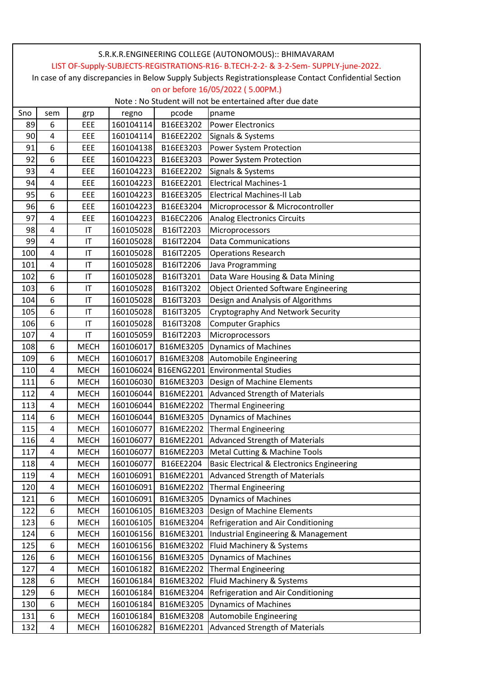|                                                                                                        | S.R.K.R.ENGINEERING COLLEGE (AUTONOMOUS):: BHIMAVARAM |                        |           |           |                                                       |  |  |  |  |
|--------------------------------------------------------------------------------------------------------|-------------------------------------------------------|------------------------|-----------|-----------|-------------------------------------------------------|--|--|--|--|
| LIST OF-Supply-SUBJECTS-REGISTRATIONS-R16- B.TECH-2-2- & 3-2-Sem- SUPPLY-june-2022.                    |                                                       |                        |           |           |                                                       |  |  |  |  |
| In case of any discrepancies in Below Supply Subjects Registrationsplease Contact Confidential Section |                                                       |                        |           |           |                                                       |  |  |  |  |
| on or before 16/05/2022 (5.00PM.)                                                                      |                                                       |                        |           |           |                                                       |  |  |  |  |
| Note: No Student will not be entertained after due date                                                |                                                       |                        |           |           |                                                       |  |  |  |  |
| Sno                                                                                                    | sem                                                   | grp                    | regno     | pcode     | pname                                                 |  |  |  |  |
| 89                                                                                                     | 6                                                     | EEE                    | 160104114 | B16EE3202 | <b>Power Electronics</b>                              |  |  |  |  |
| 90                                                                                                     | 4                                                     | EEE                    | 160104114 | B16EE2202 | Signals & Systems                                     |  |  |  |  |
| 91                                                                                                     | 6                                                     | EEE                    | 160104138 | B16EE3203 | Power System Protection                               |  |  |  |  |
| 92                                                                                                     | 6                                                     | EEE                    | 160104223 | B16EE3203 | Power System Protection                               |  |  |  |  |
| 93                                                                                                     | $\overline{4}$                                        | EEE                    | 160104223 | B16EE2202 | Signals & Systems                                     |  |  |  |  |
| 94                                                                                                     | $\overline{\mathbf{4}}$                               | EEE                    | 160104223 | B16EE2201 | <b>Electrical Machines-1</b>                          |  |  |  |  |
| 95                                                                                                     | 6                                                     | EEE                    | 160104223 | B16EE3205 | <b>Electrical Machines-II Lab</b>                     |  |  |  |  |
| 96                                                                                                     | 6                                                     | EEE                    | 160104223 | B16EE3204 | Microprocessor & Microcontroller                      |  |  |  |  |
| 97                                                                                                     | 4                                                     | EEE                    | 160104223 | B16EC2206 | <b>Analog Electronics Circuits</b>                    |  |  |  |  |
| 98                                                                                                     | $\overline{4}$                                        | IT                     | 160105028 | B16IT2203 | Microprocessors                                       |  |  |  |  |
| 99                                                                                                     | 4                                                     | IT                     | 160105028 | B16IT2204 | <b>Data Communications</b>                            |  |  |  |  |
| 100                                                                                                    | $\overline{\mathbf{4}}$                               | IT                     | 160105028 | B16IT2205 | <b>Operations Research</b>                            |  |  |  |  |
| 101                                                                                                    | $\overline{\mathbf{4}}$                               | IT                     | 160105028 | B16IT2206 | Java Programming                                      |  |  |  |  |
| 102                                                                                                    | 6                                                     | IT                     | 160105028 | B16IT3201 | Data Ware Housing & Data Mining                       |  |  |  |  |
| 103                                                                                                    | 6                                                     | $\mathsf{I}\mathsf{T}$ | 160105028 | B16IT3202 | <b>Object Oriented Software Engineering</b>           |  |  |  |  |
| 104                                                                                                    | 6                                                     | IT                     | 160105028 | B16IT3203 | Design and Analysis of Algorithms                     |  |  |  |  |
| 105                                                                                                    | 6                                                     | IT                     | 160105028 | B16IT3205 | Cryptography And Network Security                     |  |  |  |  |
| 106                                                                                                    | 6                                                     | IT                     | 160105028 | B16IT3208 | <b>Computer Graphics</b>                              |  |  |  |  |
| 107                                                                                                    | 4                                                     | IT                     | 160105059 | B16IT2203 | Microprocessors                                       |  |  |  |  |
| 108                                                                                                    | 6                                                     | <b>MECH</b>            | 160106017 | B16ME3205 | <b>Dynamics of Machines</b>                           |  |  |  |  |
| 109                                                                                                    | 6                                                     | <b>MECH</b>            | 160106017 | B16ME3208 | Automobile Engineering                                |  |  |  |  |
| 110                                                                                                    | $\overline{4}$                                        | <b>MECH</b>            | 160106024 |           | B16ENG2201 Environmental Studies                      |  |  |  |  |
| 111                                                                                                    | 6                                                     | <b>MECH</b>            | 160106030 | B16ME3203 | Design of Machine Elements                            |  |  |  |  |
| 112                                                                                                    | $\overline{4}$                                        | <b>MECH</b>            | 160106044 | B16ME2201 | Advanced Strength of Materials                        |  |  |  |  |
| 113                                                                                                    | $\overline{4}$                                        | <b>MECH</b>            | 160106044 |           | B16ME2202 Thermal Engineering                         |  |  |  |  |
| 114                                                                                                    | 6                                                     | <b>MECH</b>            | 160106044 | B16ME3205 | <b>Dynamics of Machines</b>                           |  |  |  |  |
| 115                                                                                                    | $\overline{4}$                                        | <b>MECH</b>            | 160106077 | B16ME2202 | <b>Thermal Engineering</b>                            |  |  |  |  |
| 116                                                                                                    | 4                                                     | <b>MECH</b>            | 160106077 | B16ME2201 | <b>Advanced Strength of Materials</b>                 |  |  |  |  |
| 117                                                                                                    | 4                                                     | <b>MECH</b>            | 160106077 | B16ME2203 | <b>Metal Cutting &amp; Machine Tools</b>              |  |  |  |  |
| 118                                                                                                    | 4                                                     | <b>MECH</b>            | 160106077 | B16EE2204 | <b>Basic Electrical &amp; Electronics Engineering</b> |  |  |  |  |
| 119                                                                                                    | $\overline{4}$                                        | <b>MECH</b>            | 160106091 | B16ME2201 | <b>Advanced Strength of Materials</b>                 |  |  |  |  |
| 120                                                                                                    | $\overline{\mathbf{4}}$                               | <b>MECH</b>            | 160106091 | B16ME2202 | <b>Thermal Engineering</b>                            |  |  |  |  |
| 121                                                                                                    | 6                                                     | <b>MECH</b>            | 160106091 | B16ME3205 | <b>Dynamics of Machines</b>                           |  |  |  |  |
| 122                                                                                                    | 6                                                     | <b>MECH</b>            | 160106105 | B16ME3203 | Design of Machine Elements                            |  |  |  |  |
| 123                                                                                                    | 6                                                     | <b>MECH</b>            | 160106105 | B16ME3204 | Refrigeration and Air Conditioning                    |  |  |  |  |
| 124                                                                                                    | 6                                                     | <b>MECH</b>            | 160106156 | B16ME3201 | Industrial Engineering & Management                   |  |  |  |  |
| 125                                                                                                    | 6                                                     | <b>MECH</b>            | 160106156 | B16ME3202 | Fluid Machinery & Systems                             |  |  |  |  |
| 126                                                                                                    | 6                                                     | <b>MECH</b>            | 160106156 | B16ME3205 | <b>Dynamics of Machines</b>                           |  |  |  |  |
| 127                                                                                                    | $\overline{\mathbf{4}}$                               | <b>MECH</b>            | 160106182 | B16ME2202 | <b>Thermal Engineering</b>                            |  |  |  |  |
| 128                                                                                                    | 6                                                     | <b>MECH</b>            | 160106184 | B16ME3202 | Fluid Machinery & Systems                             |  |  |  |  |
| 129                                                                                                    | 6                                                     | <b>MECH</b>            | 160106184 | B16ME3204 | Refrigeration and Air Conditioning                    |  |  |  |  |
| 130                                                                                                    | 6                                                     | <b>MECH</b>            | 160106184 | B16ME3205 | <b>Dynamics of Machines</b>                           |  |  |  |  |
| 131                                                                                                    | 6                                                     | <b>MECH</b>            | 160106184 | B16ME3208 | Automobile Engineering                                |  |  |  |  |
| 132                                                                                                    | 4                                                     | <b>MECH</b>            | 160106282 | B16ME2201 | <b>Advanced Strength of Materials</b>                 |  |  |  |  |